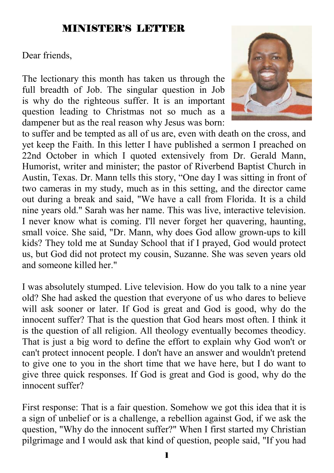### MINISTER'S LETTER

Dear friends,

The lectionary this month has taken us through the full breadth of Job. The singular question in Job is why do the righteous suffer. It is an important question leading to Christmas not so much as a dampener but as the real reason why Jesus was born:



to suffer and be tempted as all of us are, even with death on the cross, and yet keep the Faith. In this letter I have published a sermon I preached on 22nd October in which I quoted extensively from Dr. Gerald Mann, Humorist, writer and minister; the pastor of Riverbend Baptist Church in Austin, Texas. Dr. Mann tells this story, "One day I was sitting in front of two cameras in my study, much as in this setting, and the director came out during a break and said, "We have a call from Florida. It is a child nine years old." Sarah was her name. This was live, interactive television. I never know what is coming. I'll never forget her quavering, haunting, small voice. She said, "Dr. Mann, why does God allow grown-ups to kill kids? They told me at Sunday School that if I prayed, God would protect us, but God did not protect my cousin, Suzanne. She was seven years old and someone killed her."

I was absolutely stumped. Live television. How do you talk to a nine year old? She had asked the question that everyone of us who dares to believe will ask sooner or later. If God is great and God is good, why do the innocent suffer? That is the question that God hears most often. I think it is the question of all religion. All theology eventually becomes theodicy. That is just a big word to define the effort to explain why God won't or can't protect innocent people. I don't have an answer and wouldn't pretend to give one to you in the short time that we have here, but I do want to give three quick responses. If God is great and God is good, why do the innocent suffer?

First response: That is a fair question. Somehow we got this idea that it is a sign of unbelief or is a challenge, a rebellion against God, if we ask the question, "Why do the innocent suffer?" When I first started my Christian pilgrimage and I would ask that kind of question, people said, "If you had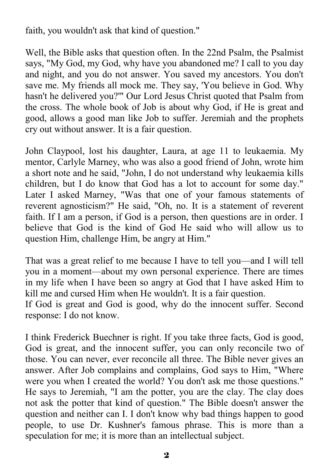faith, you wouldn't ask that kind of question."

Well, the Bible asks that question often. In the 22nd Psalm, the Psalmist says, "My God, my God, why have you abandoned me? I call to you day and night, and you do not answer. You saved my ancestors. You don't save me. My friends all mock me. They say, 'You believe in God. Why hasn't he delivered you?'" Our Lord Jesus Christ quoted that Psalm from the cross. The whole book of Job is about why God, if He is great and good, allows a good man like Job to suffer. Jeremiah and the prophets cry out without answer. It is a fair question.

John Claypool, lost his daughter, Laura, at age 11 to leukaemia. My mentor, Carlyle Marney, who was also a good friend of John, wrote him a short note and he said, "John, I do not understand why leukaemia kills children, but I do know that God has a lot to account for some day." Later I asked Marney, "Was that one of your famous statements of reverent agnosticism?" He said, "Oh, no. It is a statement of reverent faith. If I am a person, if God is a person, then questions are in order. I believe that God is the kind of God He said who will allow us to question Him, challenge Him, be angry at Him."

That was a great relief to me because I have to tell you—and I will tell you in a moment—about my own personal experience. There are times in my life when I have been so angry at God that I have asked Him to kill me and cursed Him when He wouldn't. It is a fair question.

If God is great and God is good, why do the innocent suffer. Second response: I do not know.

I think Frederick Buechner is right. If you take three facts, God is good, God is great, and the innocent suffer, you can only reconcile two of those. You can never, ever reconcile all three. The Bible never gives an answer. After Job complains and complains, God says to Him, "Where were you when I created the world? You don't ask me those questions." He says to Jeremiah, "I am the potter, you are the clay. The clay does not ask the potter that kind of question." The Bible doesn't answer the question and neither can I. I don't know why bad things happen to good people, to use Dr. Kushner's famous phrase. This is more than a speculation for me; it is more than an intellectual subject.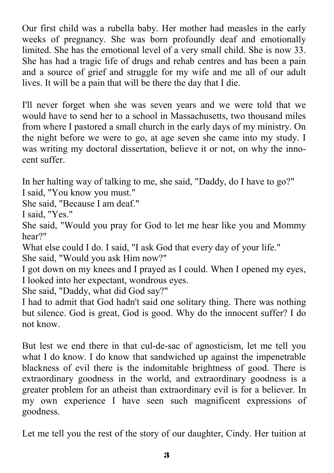Our first child was a rubella baby. Her mother had measles in the early weeks of pregnancy. She was born profoundly deaf and emotionally limited. She has the emotional level of a very small child. She is now 33. She has had a tragic life of drugs and rehab centres and has been a pain and a source of grief and struggle for my wife and me all of our adult lives. It will be a pain that will be there the day that I die.

I'll never forget when she was seven years and we were told that we would have to send her to a school in Massachusetts, two thousand miles from where I pastored a small church in the early days of my ministry. On the night before we were to go, at age seven she came into my study. I was writing my doctoral dissertation, believe it or not, on why the innocent suffer.

In her halting way of talking to me, she said, "Daddy, do I have to go?"

I said, "You know you must."

She said, "Because I am deaf."

I said, "Yes."

She said, "Would you pray for God to let me hear like you and Mommy hear?"

What else could I do. I said, "I ask God that every day of your life."

She said, "Would you ask Him now?"

I got down on my knees and I prayed as I could. When I opened my eyes, I looked into her expectant, wondrous eyes.

She said, "Daddy, what did God say?"

I had to admit that God hadn't said one solitary thing. There was nothing but silence. God is great, God is good. Why do the innocent suffer? I do not know.

But lest we end there in that cul-de-sac of agnosticism, let me tell you what I do know. I do know that sandwiched up against the impenetrable blackness of evil there is the indomitable brightness of good. There is extraordinary goodness in the world, and extraordinary goodness is a greater problem for an atheist than extraordinary evil is for a believer. In my own experience I have seen such magnificent expressions of goodness.

Let me tell you the rest of the story of our daughter, Cindy. Her tuition at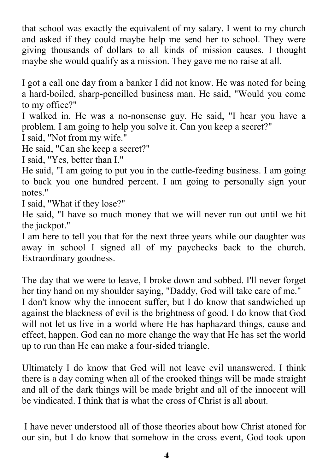that school was exactly the equivalent of my salary. I went to my church and asked if they could maybe help me send her to school. They were giving thousands of dollars to all kinds of mission causes. I thought maybe she would qualify as a mission. They gave me no raise at all.

I got a call one day from a banker I did not know. He was noted for being a hard-boiled, sharp-pencilled business man. He said, "Would you come to my office?"

I walked in. He was a no-nonsense guy. He said, "I hear you have a problem. I am going to help you solve it. Can you keep a secret?"

I said, "Not from my wife."

He said, "Can she keep a secret?"

I said, "Yes, better than I."

He said, "I am going to put you in the cattle-feeding business. I am going to back you one hundred percent. I am going to personally sign your notes."

I said, "What if they lose?"

He said, "I have so much money that we will never run out until we hit the jackpot."

I am here to tell you that for the next three years while our daughter was away in school I signed all of my paychecks back to the church. Extraordinary goodness.

The day that we were to leave, I broke down and sobbed. I'll never forget her tiny hand on my shoulder saying, "Daddy, God will take care of me." I don't know why the innocent suffer, but I do know that sandwiched up against the blackness of evil is the brightness of good. I do know that God will not let us live in a world where He has haphazard things, cause and effect, happen. God can no more change the way that He has set the world up to run than He can make a four-sided triangle.

Ultimately I do know that God will not leave evil unanswered. I think there is a day coming when all of the crooked things will be made straight and all of the dark things will be made bright and all of the innocent will be vindicated. I think that is what the cross of Christ is all about.

 I have never understood all of those theories about how Christ atoned for our sin, but I do know that somehow in the cross event, God took upon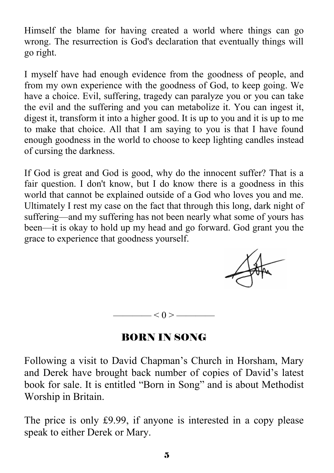Himself the blame for having created a world where things can go wrong. The resurrection is God's declaration that eventually things will go right.

I myself have had enough evidence from the goodness of people, and from my own experience with the goodness of God, to keep going. We have a choice. Evil, suffering, tragedy can paralyze you or you can take the evil and the suffering and you can metabolize it. You can ingest it, digest it, transform it into a higher good. It is up to you and it is up to me to make that choice. All that I am saying to you is that I have found enough goodness in the world to choose to keep lighting candles instead of cursing the darkness.

If God is great and God is good, why do the innocent suffer? That is a fair question. I don't know, but I do know there is a goodness in this world that cannot be explained outside of a God who loves you and me. Ultimately I rest my case on the fact that through this long, dark night of suffering—and my suffering has not been nearly what some of yours has been—it is okay to hold up my head and go forward. God grant you the grace to experience that goodness yourself.

—— $< 0 >$ ——

# BORN IN SONG

Following a visit to David Chapman's Church in Horsham, Mary and Derek have brought back number of copies of David's latest book for sale. It is entitled "Born in Song" and is about Methodist Worship in Britain.

The price is only £9.99, if anyone is interested in a copy please speak to either Derek or Mary.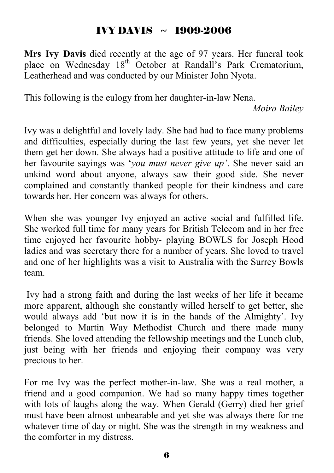### IVY DAVIS  $~\sim~1909$ -2006

**Mrs Ivy Davis** died recently at the age of 97 years. Her funeral took place on Wednesday 18<sup>th</sup> October at Randall's Park Crematorium, Leatherhead and was conducted by our Minister John Nyota.

This following is the eulogy from her daughter-in-law Nena.

*Moira Bailey*

Ivy was a delightful and lovely lady. She had had to face many problems and difficulties, especially during the last few years, yet she never let them get her down. She always had a positive attitude to life and one of her favourite sayings was '*you must never give up'*. She never said an unkind word about anyone, always saw their good side. She never complained and constantly thanked people for their kindness and care towards her. Her concern was always for others.

When she was younger Ivy enjoyed an active social and fulfilled life. She worked full time for many years for British Telecom and in her free time enjoyed her favourite hobby- playing BOWLS for Joseph Hood ladies and was secretary there for a number of years. She loved to travel and one of her highlights was a visit to Australia with the Surrey Bowls team.

 Ivy had a strong faith and during the last weeks of her life it became more apparent, although she constantly willed herself to get better, she would always add 'but now it is in the hands of the Almighty'. Ivy belonged to Martin Way Methodist Church and there made many friends. She loved attending the fellowship meetings and the Lunch club, just being with her friends and enjoying their company was very precious to her.

For me Ivy was the perfect mother-in-law. She was a real mother, a friend and a good companion. We had so many happy times together with lots of laughs along the way. When Gerald (Gerry) died her grief must have been almost unbearable and yet she was always there for me whatever time of day or night. She was the strength in my weakness and the comforter in my distress.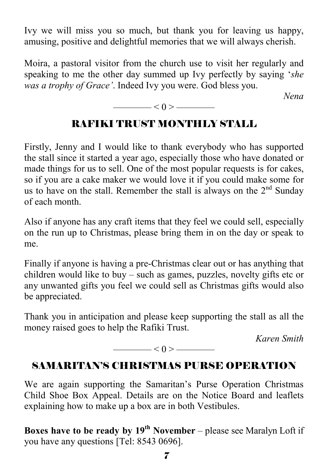Ivy we will miss you so much, but thank you for leaving us happy, amusing, positive and delightful memories that we will always cherish.

Moira, a pastoral visitor from the church use to visit her regularly and speaking to me the other day summed up Ivy perfectly by saying '*she was a trophy of Grace'*. Indeed Ivy you were. God bless you.

*Nena* 

# RAFIKI TRUST MONTHLY STALL

 $\leq 0$  >  $\leq$ 

Firstly, Jenny and I would like to thank everybody who has supported the stall since it started a year ago, especially those who have donated or made things for us to sell. One of the most popular requests is for cakes, so if you are a cake maker we would love it if you could make some for us to have on the stall. Remember the stall is always on the  $2<sup>nd</sup>$  Sunday of each month.

Also if anyone has any craft items that they feel we could sell, especially on the run up to Christmas, please bring them in on the day or speak to me.

Finally if anyone is having a pre-Christmas clear out or has anything that children would like to buy – such as games, puzzles, novelty gifts etc or any unwanted gifts you feel we could sell as Christmas gifts would also be appreciated.

Thank you in anticipation and please keep supporting the stall as all the money raised goes to help the Rafiki Trust.

*Karen Smith* 

$$
\overbrace{\hspace{1.5cm}}<0>\overbrace{\hspace{1.5cm}}
$$

# SAMARITAN'S CHRISTMAS PURSE OPERATION

We are again supporting the Samaritan's Purse Operation Christmas Child Shoe Box Appeal. Details are on the Notice Board and leaflets explaining how to make up a box are in both Vestibules.

**Boxes have to be ready by 19th November** – please see Maralyn Loft if you have any questions [Tel: 8543 0696].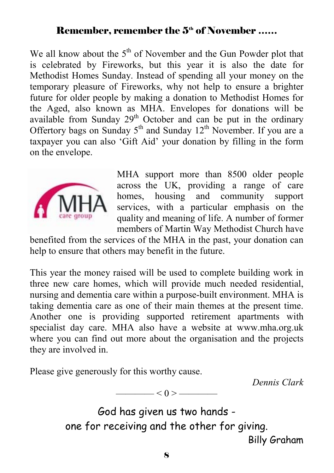### Remember, remember the 5<sup>th</sup> of November ……

We all know about the  $5<sup>th</sup>$  of November and the Gun Powder plot that is celebrated by Fireworks, but this year it is also the date for Methodist Homes Sunday. Instead of spending all your money on the temporary pleasure of Fireworks, why not help to ensure a brighter future for older people by making a donation to Methodist Homes for the Aged, also known as MHA. Envelopes for donations will be available from Sunday 29<sup>th</sup> October and can be put in the ordinary Offertory bags on Sunday  $5<sup>th</sup>$  and Sunday  $12<sup>th</sup>$  November. If you are a taxpayer you can also 'Gift Aid' your donation by filling in the form on the envelope.



MHA support more than 8500 older people across the UK, providing a range of care homes, housing and community support services, with a particular emphasis on the quality and meaning of life. A number of former members of Martin Way Methodist Church have

benefited from the services of the MHA in the past, your donation can help to ensure that others may benefit in the future.

This year the money raised will be used to complete building work in three new care homes, which will provide much needed residential, nursing and dementia care within a purpose-built environment. MHA is taking dementia care as one of their main themes at the present time. Another one is providing supported retirement apartments with specialist day care. MHA also have a website at www.mha.org.uk where you can find out more about the organisation and the projects they are involved in.

Please give generously for this worthy cause.

*Dennis Clark* 

God has given us two hands one for receiving and the other for giving. Billy Graham

 $- < 0 > -$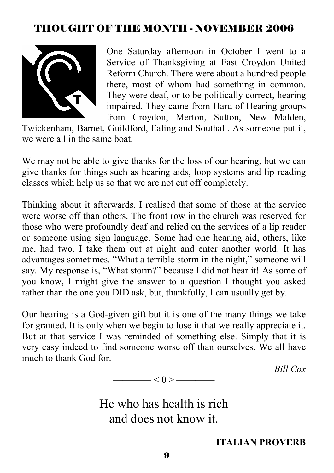# THOUGHT OF THE MONTH - NOVEMBER 2006



One Saturday afternoon in October I went to a Service of Thanksgiving at East Croydon United Reform Church. There were about a hundred people there, most of whom had something in common. They were deaf, or to be politically correct, hearing impaired. They came from Hard of Hearing groups from Croydon, Merton, Sutton, New Malden,

Twickenham, Barnet, Guildford, Ealing and Southall. As someone put it, we were all in the same boat.

We may not be able to give thanks for the loss of our hearing, but we can give thanks for things such as hearing aids, loop systems and lip reading classes which help us so that we are not cut off completely.

Thinking about it afterwards, I realised that some of those at the service were worse off than others. The front row in the church was reserved for those who were profoundly deaf and relied on the services of a lip reader or someone using sign language. Some had one hearing aid, others, like me, had two. I take them out at night and enter another world. It has advantages sometimes. "What a terrible storm in the night," someone will say. My response is, "What storm?" because I did not hear it! As some of you know, I might give the answer to a question I thought you asked rather than the one you DID ask, but, thankfully, I can usually get by.

Our hearing is a God-given gift but it is one of the many things we take for granted. It is only when we begin to lose it that we really appreciate it. But at that service I was reminded of something else. Simply that it is very easy indeed to find someone worse off than ourselves. We all have much to thank God for.

*Bill Cox* 

——— $<$  ()  $>$  ————

He who has health is rich and does not know it.

### **ITALIAN PROVERB**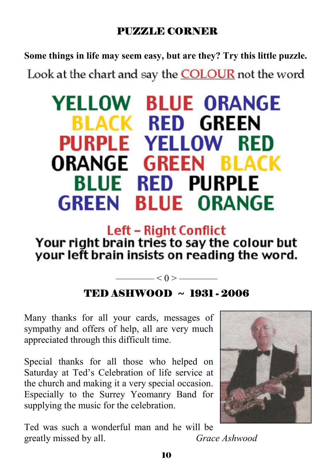# PUZZLE CORNER

**Some things in life may seem easy, but are they? Try this little puzzle.** 

Look at the chart and say the **COLOUR** not the word

# **YELLOW BLUE ORANGE BLACK RED GREEN PURPLE YELLOW RED ORANGE GREEN BLACK BLUE RED PURPLE GREEN BLUE ORANGE**

# **Left - Right Conflict** Your right brain tries to say the colour but your left brain insists on reading the word.

# TED ASHWOOD ~ 1931 - 2006

——— $<$  () > ————

Many thanks for all your cards, messages of sympathy and offers of help, all are very much appreciated through this difficult time.

Special thanks for all those who helped on Saturday at Ted's Celebration of life service at the church and making it a very special occasion. Especially to the Surrey Yeomanry Band for supplying the music for the celebration.

Ted was such a wonderful man and he will be greatly missed by all. *Grace Ashwood*

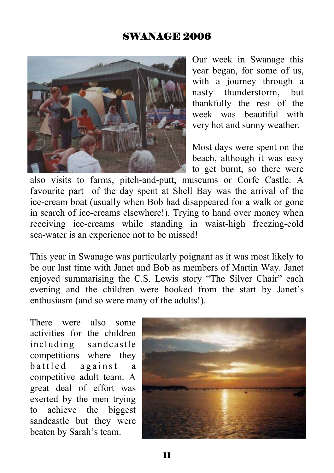# SWANAGE 2006



Our week in Swanage this year began, for some of us, with a journey through a nasty thunderstorm, but thankfully the rest of the week was beautiful with very hot and sunny weather.

Most days were spent on the beach, although it was easy to get burnt, so there were

also visits to farms, pitch-and-putt, museums or Corfe Castle. A favourite part of the day spent at Shell Bay was the arrival of the ice-cream boat (usually when Bob had disappeared for a walk or gone in search of ice-creams elsewhere!). Trying to hand over money when receiving ice-creams while standing in waist-high freezing-cold sea-water is an experience not to be missed!

This year in Swanage was particularly poignant as it was most likely to be our last time with Janet and Bob as members of Martin Way. Janet enjoyed summarising the C.S. Lewis story "The Silver Chair" each evening and the children were hooked from the start by Janet's enthusiasm (and so were many of the adults!).

There were also some activities for the children including sandcastle competitions where they battled against a competitive adult team. A great deal of effort was exerted by the men trying to achieve the biggest sandcastle but they were beaten by Sarah's team.

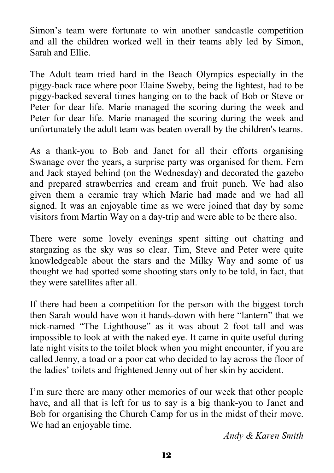Simon's team were fortunate to win another sandcastle competition and all the children worked well in their teams ably led by Simon, Sarah and Ellie.

The Adult team tried hard in the Beach Olympics especially in the piggy-back race where poor Elaine Sweby, being the lightest, had to be piggy-backed several times hanging on to the back of Bob or Steve or Peter for dear life. Marie managed the scoring during the week and Peter for dear life. Marie managed the scoring during the week and unfortunately the adult team was beaten overall by the children's teams.

As a thank-you to Bob and Janet for all their efforts organising Swanage over the years, a surprise party was organised for them. Fern and Jack stayed behind (on the Wednesday) and decorated the gazebo and prepared strawberries and cream and fruit punch. We had also given them a ceramic tray which Marie had made and we had all signed. It was an enjoyable time as we were joined that day by some visitors from Martin Way on a day-trip and were able to be there also.

There were some lovely evenings spent sitting out chatting and stargazing as the sky was so clear. Tim, Steve and Peter were quite knowledgeable about the stars and the Milky Way and some of us thought we had spotted some shooting stars only to be told, in fact, that they were satellites after all.

If there had been a competition for the person with the biggest torch then Sarah would have won it hands-down with here "lantern" that we nick-named "The Lighthouse" as it was about 2 foot tall and was impossible to look at with the naked eye. It came in quite useful during late night visits to the toilet block when you might encounter, if you are called Jenny, a toad or a poor cat who decided to lay across the floor of the ladies' toilets and frightened Jenny out of her skin by accident.

I'm sure there are many other memories of our week that other people have, and all that is left for us to say is a big thank-you to Janet and Bob for organising the Church Camp for us in the midst of their move. We had an enjoyable time.

*Andy & Karen Smith*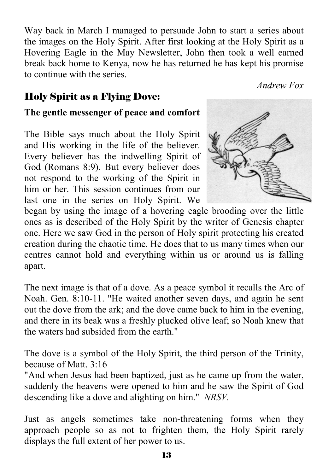Way back in March I managed to persuade John to start a series about the images on the Holy Spirit. After first looking at the Holy Spirit as a Hovering Eagle in the May Newsletter, John then took a well earned break back home to Kenya, now he has returned he has kept his promise to continue with the series.

*Andrew Fox* 

# Holy Spirit as a Flying Dove:

### **The gentle messenger of peace and comfort**

The Bible says much about the Holy Spirit and His working in the life of the believer. Every believer has the indwelling Spirit of God (Romans 8:9). But every believer does not respond to the working of the Spirit in him or her. This session continues from our last one in the series on Holy Spirit. We



began by using the image of a hovering eagle brooding over the little ones as is described of the Holy Spirit by the writer of Genesis chapter one. Here we saw God in the person of Holy spirit protecting his created creation during the chaotic time. He does that to us many times when our centres cannot hold and everything within us or around us is falling apart.

The next image is that of a dove. As a peace symbol it recalls the Arc of Noah. Gen. 8:10-11. "He waited another seven days, and again he sent out the dove from the ark; and the dove came back to him in the evening, and there in its beak was a freshly plucked olive leaf; so Noah knew that the waters had subsided from the earth."

The dove is a symbol of the Holy Spirit, the third person of the Trinity, because of Matt. 3:16

"And when Jesus had been baptized, just as he came up from the water, suddenly the heavens were opened to him and he saw the Spirit of God descending like a dove and alighting on him." *NRSV.* 

Just as angels sometimes take non-threatening forms when they approach people so as not to frighten them, the Holy Spirit rarely displays the full extent of her power to us.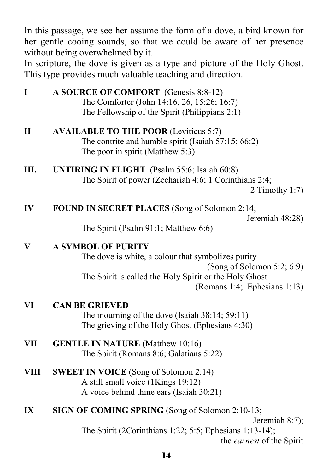In this passage, we see her assume the form of a dove, a bird known for her gentle cooing sounds, so that we could be aware of her presence without being overwhelmed by it.

In scripture, the dove is given as a type and picture of the Holy Ghost. This type provides much valuable teaching and direction.

**I** A SOURCE OF COMFORT (Genesis 8:8-12) The Comforter (John 14:16, 26, 15:26; 16:7) The Fellowship of the Spirit (Philippians 2:1)

- **II** AVAILABLE TO THE POOR (Leviticus 5:7) The contrite and humble spirit (Isaiah 57:15; 66:2) The poor in spirit (Matthew 5:3)
- **III. UNTIRING IN FLIGHT** (Psalm 55:6; Isaiah 60:8) The Spirit of power (Zechariah 4:6; 1 Corinthians 2:4;

### **IV FOUND IN SECRET PLACES** (Song of Solomon 2:14;

Jeremiah 48:28)

The Spirit (Psalm 91:1; Matthew 6:6)

#### **V A SYMBOL OF PURITY**

 The dove is white, a colour that symbolizes purity (Song of Solomon 5:2; 6:9) The Spirit is called the Holy Spirit or the Holy Ghost (Romans 1:4; Ephesians 1:13)

#### **VI CAN BE GRIEVED**

 The mourning of the dove (Isaiah 38:14; 59:11) The grieving of the Holy Ghost (Ephesians 4:30)

- **VII GENTLE IN NATURE** (Matthew 10:16) The Spirit (Romans 8:6; Galatians 5:22)
- **VIII** SWEET IN VOICE (Song of Solomon 2:14) A still small voice (1Kings 19:12) A voice behind thine ears (Isaiah 30:21)
- **IX SIGN OF COMING SPRING (Song of Solomon 2:10-13;**

Jeremiah 8:7); The Spirit (2Corinthians 1:22; 5:5; Ephesians 1:13-14); the *earnest* of the Spirit

<sup>2</sup> Timothy 1:7)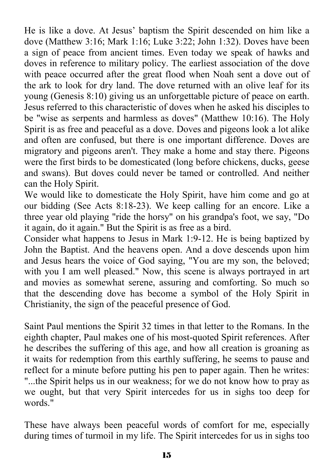He is like a dove. At Jesus' baptism the Spirit descended on him like a dove (Matthew 3:16; Mark 1:16; Luke 3:22; John 1:32). Doves have been a sign of peace from ancient times. Even today we speak of hawks and doves in reference to military policy. The earliest association of the dove with peace occurred after the great flood when Noah sent a dove out of the ark to look for dry land. The dove returned with an olive leaf for its young (Genesis 8:10) giving us an unforgettable picture of peace on earth. Jesus referred to this characteristic of doves when he asked his disciples to be "wise as serpents and harmless as doves" (Matthew 10:16). The Holy Spirit is as free and peaceful as a dove. Doves and pigeons look a lot alike and often are confused, but there is one important difference. Doves are migratory and pigeons aren't. They make a home and stay there. Pigeons were the first birds to be domesticated (long before chickens, ducks, geese and swans). But doves could never be tamed or controlled. And neither can the Holy Spirit.

We would like to domesticate the Holy Spirit, have him come and go at our bidding (See Acts 8:18-23). We keep calling for an encore. Like a three year old playing "ride the horsy" on his grandpa's foot, we say, "Do it again, do it again." But the Spirit is as free as a bird.

Consider what happens to Jesus in Mark 1:9-12. He is being baptized by John the Baptist. And the heavens open. And a dove descends upon him and Jesus hears the voice of God saying, "You are my son, the beloved; with you I am well pleased." Now, this scene is always portrayed in art and movies as somewhat serene, assuring and comforting. So much so that the descending dove has become a symbol of the Holy Spirit in Christianity, the sign of the peaceful presence of God.

Saint Paul mentions the Spirit 32 times in that letter to the Romans. In the eighth chapter, Paul makes one of his most-quoted Spirit references. After he describes the suffering of this age, and how all creation is groaning as it waits for redemption from this earthly suffering, he seems to pause and reflect for a minute before putting his pen to paper again. Then he writes: "...the Spirit helps us in our weakness; for we do not know how to pray as we ought, but that very Spirit intercedes for us in sighs too deep for words."

These have always been peaceful words of comfort for me, especially during times of turmoil in my life. The Spirit intercedes for us in sighs too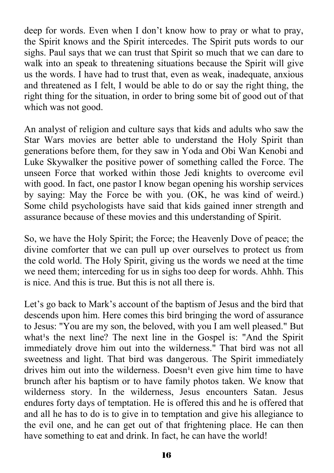deep for words. Even when I don't know how to pray or what to pray, the Spirit knows and the Spirit intercedes. The Spirit puts words to our sighs. Paul says that we can trust that Spirit so much that we can dare to walk into an speak to threatening situations because the Spirit will give us the words. I have had to trust that, even as weak, inadequate, anxious and threatened as I felt, I would be able to do or say the right thing, the right thing for the situation, in order to bring some bit of good out of that which was not good.

An analyst of religion and culture says that kids and adults who saw the Star Wars movies are better able to understand the Holy Spirit than generations before them, for they saw in Yoda and Obi Wan Kenobi and Luke Skywalker the positive power of something called the Force. The unseen Force that worked within those Jedi knights to overcome evil with good. In fact, one pastor I know began opening his worship services by saying: May the Force be with you. (OK, he was kind of weird.) Some child psychologists have said that kids gained inner strength and assurance because of these movies and this understanding of Spirit.

So, we have the Holy Spirit; the Force; the Heavenly Dove of peace; the divine comforter that we can pull up over ourselves to protect us from the cold world. The Holy Spirit, giving us the words we need at the time we need them; interceding for us in sighs too deep for words. Ahhh. This is nice. And this is true. But this is not all there is.

Let's go back to Mark's account of the baptism of Jesus and the bird that descends upon him. Here comes this bird bringing the word of assurance to Jesus: "You are my son, the beloved, with you I am well pleased." But what's the next line? The next line in the Gospel is: "And the Spirit immediately drove him out into the wilderness." That bird was not all sweetness and light. That bird was dangerous. The Spirit immediately drives him out into the wilderness. Doesn<sup>1</sup>t even give him time to have brunch after his baptism or to have family photos taken. We know that wilderness story. In the wilderness, Jesus encounters Satan. Jesus endures forty days of temptation. He is offered this and he is offered that and all he has to do is to give in to temptation and give his allegiance to the evil one, and he can get out of that frightening place. He can then have something to eat and drink. In fact, he can have the world!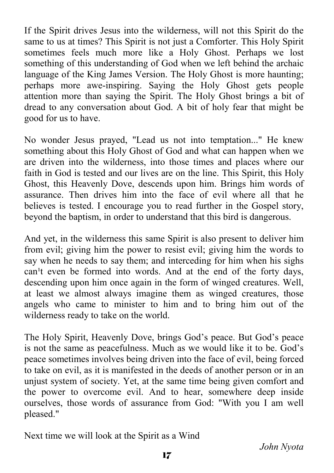If the Spirit drives Jesus into the wilderness, will not this Spirit do the same to us at times? This Spirit is not just a Comforter. This Holy Spirit sometimes feels much more like a Holy Ghost. Perhaps we lost something of this understanding of God when we left behind the archaic language of the King James Version. The Holy Ghost is more haunting; perhaps more awe-inspiring. Saying the Holy Ghost gets people attention more than saying the Spirit. The Holy Ghost brings a bit of dread to any conversation about God. A bit of holy fear that might be good for us to have.

No wonder Jesus prayed, "Lead us not into temptation..." He knew something about this Holy Ghost of God and what can happen when we are driven into the wilderness, into those times and places where our faith in God is tested and our lives are on the line. This Spirit, this Holy Ghost, this Heavenly Dove, descends upon him. Brings him words of assurance. Then drives him into the face of evil where all that he believes is tested. I encourage you to read further in the Gospel story, beyond the baptism, in order to understand that this bird is dangerous.

And yet, in the wilderness this same Spirit is also present to deliver him from evil; giving him the power to resist evil; giving him the words to say when he needs to say them; and interceding for him when his sighs can't even be formed into words. And at the end of the forty days, descending upon him once again in the form of winged creatures. Well, at least we almost always imagine them as winged creatures, those angels who came to minister to him and to bring him out of the wilderness ready to take on the world.

The Holy Spirit, Heavenly Dove, brings God's peace. But God's peace is not the same as peacefulness. Much as we would like it to be. God's peace sometimes involves being driven into the face of evil, being forced to take on evil, as it is manifested in the deeds of another person or in an unjust system of society. Yet, at the same time being given comfort and the power to overcome evil. And to hear, somewhere deep inside ourselves, those words of assurance from God: "With you I am well pleased."

Next time we will look at the Spirit as a Wind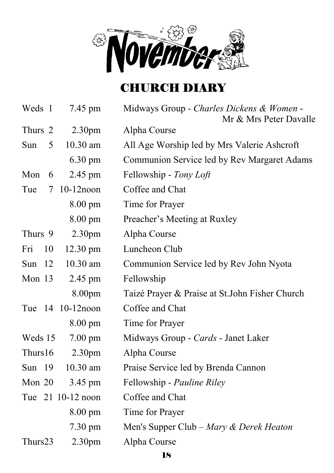

# CHURCH DIARY

| Weds 1    | 7.45 pm            | Midways Group - Charles Dickens & Women -<br>Mr & Mrs Peter Davalle |
|-----------|--------------------|---------------------------------------------------------------------|
| Thurs 2   | 2.30 <sub>pm</sub> | Alpha Course                                                        |
| Sun<br>5  | $10.30$ am         | All Age Worship led by Mrs Valerie Ashcroft                         |
|           | $6.30 \text{ pm}$  | Communion Service led by Rev Margaret Adams                         |
| Mon<br>6  | 2.45 pm            | Fellowship - Tony Loft                                              |
| Tue<br>7  | $10-12$ noon       | Coffee and Chat                                                     |
|           | 8.00 pm            | Time for Prayer                                                     |
|           | $8.00 \text{ pm}$  | Preacher's Meeting at Ruxley                                        |
| Thurs 9   | 2.30pm             | Alpha Course                                                        |
| 10<br>Fri | $12.30 \text{ pm}$ | Luncheon Club                                                       |
| Sun<br>12 | $10.30$ am         | Communion Service led by Rev John Nyota                             |
| Mon $13$  | 2.45 pm            | Fellowship                                                          |
|           | 8.00pm             | Taizé Prayer & Praise at St.John Fisher Church                      |
|           | Tue 14 10-12 noon  | Coffee and Chat                                                     |
|           | $8.00 \text{ pm}$  | Time for Prayer                                                     |
| Weds 15   | $7.00 \text{ pm}$  | Midways Group - Cards - Janet Laker                                 |
| Thurs16   | 2.30 <sub>pm</sub> | Alpha Course                                                        |
| Sun $19$  | 10.30 am           | Praise Service led by Brenda Cannon                                 |
| Mon 20    | 3.45 pm            | Fellowship - Pauline Riley                                          |
|           | Tue 21 10-12 noon  | Coffee and Chat                                                     |
|           | 8.00 pm            | Time for Prayer                                                     |
|           | 7.30 pm            | Men's Supper Club – Mary & Derek Heaton                             |
| Thurs23   | 2.30 <sub>pm</sub> | Alpha Course                                                        |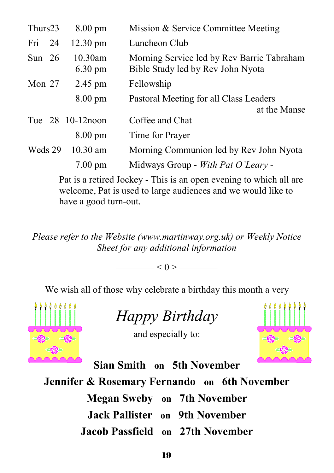| Thurs23  | $8.00 \text{ pm}$               | Mission & Service Committee Meeting                                             |
|----------|---------------------------------|---------------------------------------------------------------------------------|
| Fri 24   | $12.30 \text{ pm}$              | Luncheon Club                                                                   |
| Sun $26$ | $10.30$ am<br>$6.30 \text{ pm}$ | Morning Service led by Rev Barrie Tabraham<br>Bible Study led by Rev John Nyota |
| Mon $27$ | 2.45 pm                         | Fellowship                                                                      |
|          | $8.00 \text{ pm}$               | Pastoral Meeting for all Class Leaders<br>at the Manse                          |
|          | Tue 28 10-12 noon               | Coffee and Chat                                                                 |
|          | $8.00 \text{ pm}$               | Time for Prayer                                                                 |
| Weds 29  | $10.30$ am                      | Morning Communion led by Rev John Nyota                                         |
|          | $7.00 \text{ pm}$               | Midways Group - With Pat O'Leary -                                              |

Pat is a retired Jockey - This is an open evening to which all are welcome, Pat is used to large audiences and we would like to have a good turn-out.

*Please refer to the Website (www.martinway.org.uk) or Weekly Notice Sheet for any additional information* 

 $-$  < 0 >  $-$ 

We wish all of those why celebrate a birthday this month a very



*Happy Birthday* 

and especially to:



**Sian Smith on 5th November** 

**Jennifer & Rosemary Fernando on 6th November** 

**Megan Sweby on 7th November** 

**Jack Pallister on 9th November** 

**Jacob Passfield on 27th November**